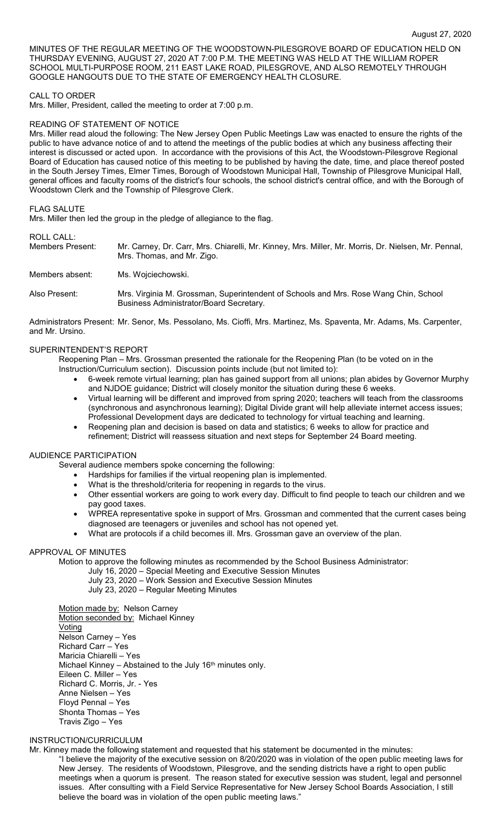MINUTES OF THE REGULAR MEETING OF THE WOODSTOWN-PILESGROVE BOARD OF EDUCATION HELD ON THURSDAY EVENING, AUGUST 27, 2020 AT 7:00 P.M. THE MEETING WAS HELD AT THE WILLIAM ROPER SCHOOL MULTI-PURPOSE ROOM, 211 EAST LAKE ROAD, PILESGROVE, AND ALSO REMOTELY THROUGH GOOGLE HANGOUTS DUE TO THE STATE OF EMERGENCY HEALTH CLOSURE.

### CALL TO ORDER

Mrs. Miller, President, called the meeting to order at 7:00 p.m.

### READING OF STATEMENT OF NOTICE

Mrs. Miller read aloud the following: The New Jersey Open Public Meetings Law was enacted to ensure the rights of the public to have advance notice of and to attend the meetings of the public bodies at which any business affecting their interest is discussed or acted upon. In accordance with the provisions of this Act, the Woodstown-Pilesgrove Regional Board of Education has caused notice of this meeting to be published by having the date, time, and place thereof posted in the South Jersey Times, Elmer Times, Borough of Woodstown Municipal Hall, Township of Pilesgrove Municipal Hall, general offices and faculty rooms of the district's four schools, the school district's central office, and with the Borough of Woodstown Clerk and the Township of Pilesgrove Clerk.

#### FLAG SALUTE

Mrs. Miller then led the group in the pledge of allegiance to the flag.

### ROLL CALL:

Members Present: Mr. Carney, Dr. Carr, Mrs. Chiarelli, Mr. Kinney, Mrs. Miller, Mr. Morris, Dr. Nielsen, Mr. Pennal, Mrs. Thomas, and Mr. Zigo. Members absent: Ms. Wojciechowski.

Also Present: Mrs. Virginia M. Grossman, Superintendent of Schools and Mrs. Rose Wang Chin, School Business Administrator/Board Secretary.

Administrators Present: Mr. Senor, Ms. Pessolano, Ms. Cioffi, Mrs. Martinez, Ms. Spaventa, Mr. Adams, Ms. Carpenter, and Mr. Ursino.

### SUPERINTENDENT'S REPORT

Reopening Plan – Mrs. Grossman presented the rationale for the Reopening Plan (to be voted on in the Instruction/Curriculum section). Discussion points include (but not limited to):

- 6-week remote virtual learning; plan has gained support from all unions; plan abides by Governor Murphy and NJDOE guidance; District will closely monitor the situation during these 6 weeks.
- Virtual learning will be different and improved from spring 2020; teachers will teach from the classrooms (synchronous and asynchronous learning); Digital Divide grant will help alleviate internet access issues; Professional Development days are dedicated to technology for virtual teaching and learning.
- Reopening plan and decision is based on data and statistics; 6 weeks to allow for practice and refinement; District will reassess situation and next steps for September 24 Board meeting.

### AUDIENCE PARTICIPATION

Several audience members spoke concerning the following:

- Hardships for families if the virtual reopening plan is implemented.
- What is the threshold/criteria for reopening in regards to the virus.
- Other essential workers are going to work every day. Difficult to find people to teach our children and we pay good taxes.
- WPREA representative spoke in support of Mrs. Grossman and commented that the current cases being diagnosed are teenagers or juveniles and school has not opened yet.
- What are protocols if a child becomes ill. Mrs. Grossman gave an overview of the plan.

## APPROVAL OF MINUTES

Motion to approve the following minutes as recommended by the School Business Administrator:

- July 16, 2020 Special Meeting and Executive Session Minutes
- July 23, 2020 Work Session and Executive Session Minutes
- July 23, 2020 Regular Meeting Minutes

Motion made by: Nelson Carney Motion seconded by: Michael Kinney **Voting** Nelson Carney – Yes Richard Carr – Yes Maricia Chiarelli – Yes Michael Kinney – Abstained to the July 16<sup>th</sup> minutes only. Eileen C. Miller – Yes Richard C. Morris, Jr. - Yes Anne Nielsen – Yes Floyd Pennal – Yes Shonta Thomas – Yes Travis Zigo – Yes

### INSTRUCTION/CURRICULUM

Mr. Kinney made the following statement and requested that his statement be documented in the minutes: "I believe the majority of the executive session on 8/20/2020 was in violation of the open public meeting laws for New Jersey. The residents of Woodstown, Pilesgrove, and the sending districts have a right to open public meetings when a quorum is present. The reason stated for executive session was student, legal and personnel issues. After consulting with a Field Service Representative for New Jersey School Boards Association, I still believe the board was in violation of the open public meeting laws."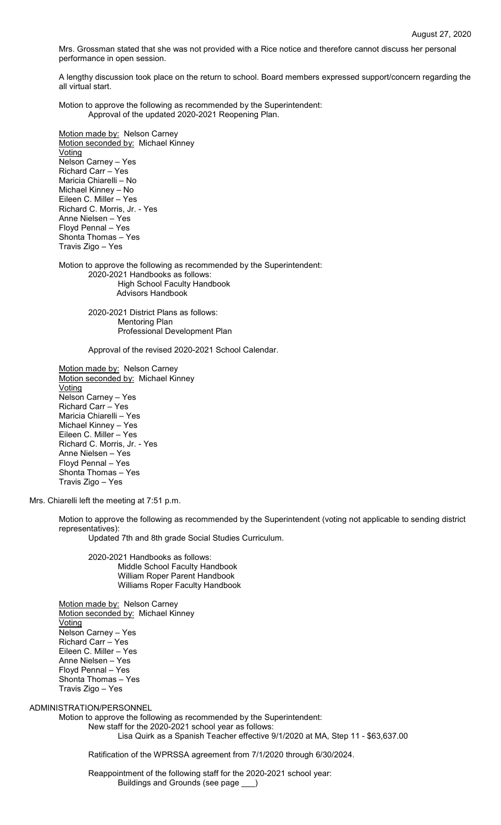Mrs. Grossman stated that she was not provided with a Rice notice and therefore cannot discuss her personal performance in open session.

A lengthy discussion took place on the return to school. Board members expressed support/concern regarding the all virtual start.

Motion to approve the following as recommended by the Superintendent: Approval of the updated 2020-2021 Reopening Plan.

Motion made by: Nelson Carney Motion seconded by: Michael Kinney Voting Nelson Carney – Yes Richard Carr – Yes Maricia Chiarelli – No Michael Kinney – No Eileen C. Miller – Yes Richard C. Morris, Jr. - Yes Anne Nielsen – Yes Floyd Pennal – Yes Shonta Thomas – Yes Travis Zigo – Yes

Motion to approve the following as recommended by the Superintendent: 2020-2021 Handbooks as follows: High School Faculty Handbook Advisors Handbook

> 2020-2021 District Plans as follows: Mentoring Plan Professional Development Plan

Approval of the revised 2020-2021 School Calendar.

Motion made by: Nelson Carney Motion seconded by: Michael Kinney **Voting** Nelson Carney – Yes Richard Carr – Yes Maricia Chiarelli – Yes Michael Kinney – Yes Eileen C. Miller – Yes Richard C. Morris, Jr. - Yes Anne Nielsen – Yes Floyd Pennal – Yes Shonta Thomas – Yes Travis Zigo – Yes

Mrs. Chiarelli left the meeting at 7:51 p.m.

Motion to approve the following as recommended by the Superintendent (voting not applicable to sending district representatives):

Updated 7th and 8th grade Social Studies Curriculum.

2020-2021 Handbooks as follows: Middle School Faculty Handbook William Roper Parent Handbook Williams Roper Faculty Handbook

Motion made by: Nelson Carney Motion seconded by: Michael Kinney Voting Nelson Carney – Yes Richard Carr – Yes Eileen C. Miller – Yes Anne Nielsen – Yes Floyd Pennal – Yes Shonta Thomas – Yes Travis Zigo – Yes

ADMINISTRATION/PERSONNEL

Motion to approve the following as recommended by the Superintendent: New staff for the 2020-2021 school year as follows:

Lisa Quirk as a Spanish Teacher effective 9/1/2020 at MA, Step 11 - \$63,637.00

Ratification of the WPRSSA agreement from 7/1/2020 through 6/30/2024.

Reappointment of the following staff for the 2020-2021 school year: Buildings and Grounds (see page \_\_\_)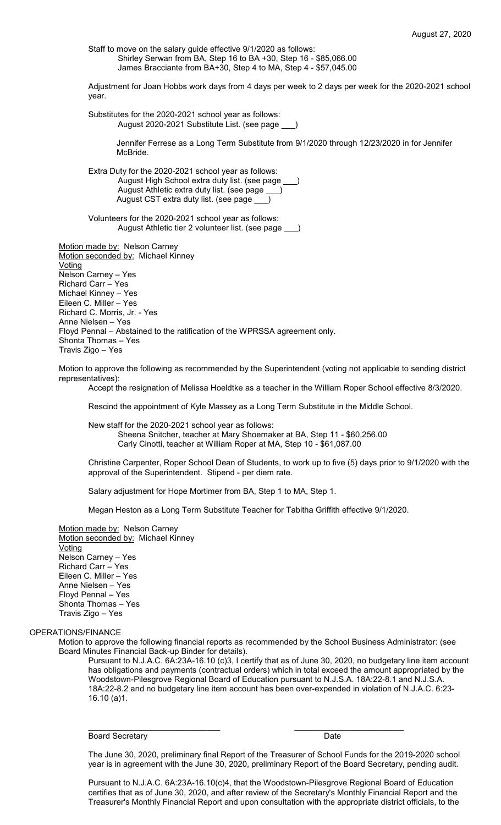Staff to move on the salary guide effective 9/1/2020 as follows: Shirley Serwan from BA, Step 16 to BA +30, Step 16 - \$85,066.00 James Bracciante from BA+30, Step 4 to MA, Step 4 - \$57,045.00

Adjustment for Joan Hobbs work days from 4 days per week to 2 days per week for the 2020-2021 school year.

Substitutes for the 2020-2021 school year as follows: August 2020-2021 Substitute List. (see page \_\_\_)

> Jennifer Ferrese as a Long Term Substitute from 9/1/2020 through 12/23/2020 in for Jennifer McBride.

Extra Duty for the 2020-2021 school year as follows: August High School extra duty list. (see page August Athletic extra duty list. (see page \_\_\_) August CST extra duty list. (see page

Volunteers for the 2020-2021 school year as follows: August Athletic tier 2 volunteer list. (see page \_\_\_)

Motion made by: Nelson Carney Motion seconded by: Michael Kinney **Voting** Nelson Carney – Yes Richard Carr – Yes Michael Kinney – Yes Eileen C. Miller – Yes Richard C. Morris, Jr. - Yes Anne Nielsen – Yes Floyd Pennal – Abstained to the ratification of the WPRSSA agreement only. Shonta Thomas – Yes Travis Zigo – Yes

Motion to approve the following as recommended by the Superintendent (voting not applicable to sending district representatives):

Accept the resignation of Melissa Hoeldtke as a teacher in the William Roper School effective 8/3/2020.

Rescind the appointment of Kyle Massey as a Long Term Substitute in the Middle School.

New staff for the 2020-2021 school year as follows: Sheena Snitcher, teacher at Mary Shoemaker at BA, Step 11 - \$60,256.00 Carly Cinotti, teacher at William Roper at MA, Step 10 - \$61,087.00

Christine Carpenter, Roper School Dean of Students, to work up to five (5) days prior to 9/1/2020 with the approval of the Superintendent. Stipend - per diem rate.

Salary adjustment for Hope Mortimer from BA, Step 1 to MA, Step 1.

Megan Heston as a Long Term Substitute Teacher for Tabitha Griffith effective 9/1/2020.

Motion made by: Nelson Carney Motion seconded by: Michael Kinney Voting Nelson Carney – Yes Richard Carr – Yes Eileen C. Miller – Yes Anne Nielsen – Yes Floyd Pennal – Yes Shonta Thomas – Yes Travis Zigo – Yes

#### OPERATIONS/FINANCE

Motion to approve the following financial reports as recommended by the School Business Administrator: (see Board Minutes Financial Back-up Binder for details).

\_\_\_\_\_\_\_\_\_\_\_\_\_\_\_\_\_\_\_\_\_\_\_\_\_\_\_\_\_ \_\_\_\_\_\_\_\_\_\_\_\_\_\_\_\_\_\_\_\_\_\_\_\_

Pursuant to N.J.A.C. 6A:23A-16.10 (c)3, I certify that as of June 30, 2020, no budgetary line item account has obligations and payments (contractual orders) which in total exceed the amount appropriated by the Woodstown-Pilesgrove Regional Board of Education pursuant to N.J.S.A. 18A:22-8.1 and N.J.S.A. 18A:22-8.2 and no budgetary line item account has been over-expended in violation of N.J.A.C. 6:23- 16.10 (a)1.

Board Secretary **Date** 

The June 30, 2020, preliminary final Report of the Treasurer of School Funds for the 2019-2020 school year is in agreement with the June 30, 2020, preliminary Report of the Board Secretary, pending audit.

Pursuant to N.J.A.C. 6A:23A-16.10(c)4, that the Woodstown-Pilesgrove Regional Board of Education certifies that as of June 30, 2020, and after review of the Secretary's Monthly Financial Report and the Treasurer's Monthly Financial Report and upon consultation with the appropriate district officials, to the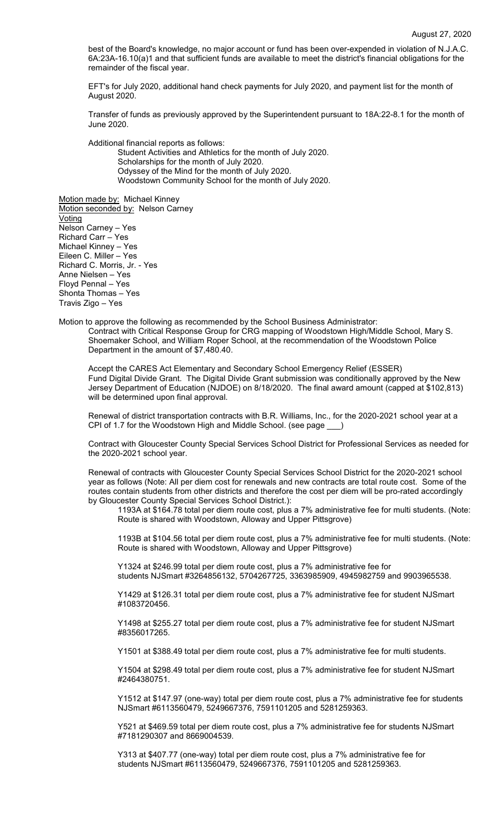best of the Board's knowledge, no major account or fund has been over-expended in violation of N.J.A.C. 6A:23A-16.10(a)1 and that sufficient funds are available to meet the district's financial obligations for the remainder of the fiscal year.

EFT's for July 2020, additional hand check payments for July 2020, and payment list for the month of August 2020.

Transfer of funds as previously approved by the Superintendent pursuant to 18A:22-8.1 for the month of June 2020.

Additional financial reports as follows:

Student Activities and Athletics for the month of July 2020. Scholarships for the month of July 2020. Odyssey of the Mind for the month of July 2020. Woodstown Community School for the month of July 2020.

Motion made by: Michael Kinney Motion seconded by: Nelson Carney Voting Nelson Carney – Yes Richard Carr – Yes Michael Kinney – Yes

Eileen C. Miller – Yes Richard C. Morris, Jr. - Yes Anne Nielsen – Yes Floyd Pennal – Yes Shonta Thomas – Yes Travis Zigo – Yes

Motion to approve the following as recommended by the School Business Administrator: Contract with Critical Response Group for CRG mapping of Woodstown High/Middle School, Mary S. Shoemaker School, and William Roper School, at the recommendation of the Woodstown Police Department in the amount of \$7,480.40.

Accept the CARES Act Elementary and Secondary School Emergency Relief (ESSER) Fund Digital Divide Grant. The Digital Divide Grant submission was conditionally approved by the New Jersey Department of Education (NJDOE) on 8/18/2020. The final award amount (capped at \$102,813) will be determined upon final approval.

Renewal of district transportation contracts with B.R. Williams, Inc., for the 2020-2021 school year at a CPI of 1.7 for the Woodstown High and Middle School. (see page \_

Contract with Gloucester County Special Services School District for Professional Services as needed for the 2020-2021 school year.

Renewal of contracts with Gloucester County Special Services School District for the 2020-2021 school year as follows (Note: All per diem cost for renewals and new contracts are total route cost. Some of the routes contain students from other districts and therefore the cost per diem will be pro-rated accordingly by Gloucester County Special Services School District.):

1193A at \$164.78 total per diem route cost, plus a 7% administrative fee for multi students. (Note: Route is shared with Woodstown, Alloway and Upper Pittsgrove)

1193B at \$104.56 total per diem route cost, plus a 7% administrative fee for multi students. (Note: Route is shared with Woodstown, Alloway and Upper Pittsgrove)

Y1324 at \$246.99 total per diem route cost, plus a 7% administrative fee for students NJSmart #3264856132, 5704267725, 3363985909, 4945982759 and 9903965538.

Y1429 at \$126.31 total per diem route cost, plus a 7% administrative fee for student NJSmart #1083720456.

Y1498 at \$255.27 total per diem route cost, plus a 7% administrative fee for student NJSmart #8356017265.

Y1501 at \$388.49 total per diem route cost, plus a 7% administrative fee for multi students.

Y1504 at \$298.49 total per diem route cost, plus a 7% administrative fee for student NJSmart #2464380751.

Y1512 at \$147.97 (one-way) total per diem route cost, plus a 7% administrative fee for students NJSmart #6113560479, 5249667376, 7591101205 and 5281259363.

Y521 at \$469.59 total per diem route cost, plus a 7% administrative fee for students NJSmart #7181290307 and 8669004539.

Y313 at \$407.77 (one-way) total per diem route cost, plus a 7% administrative fee for students NJSmart #6113560479, 5249667376, 7591101205 and 5281259363.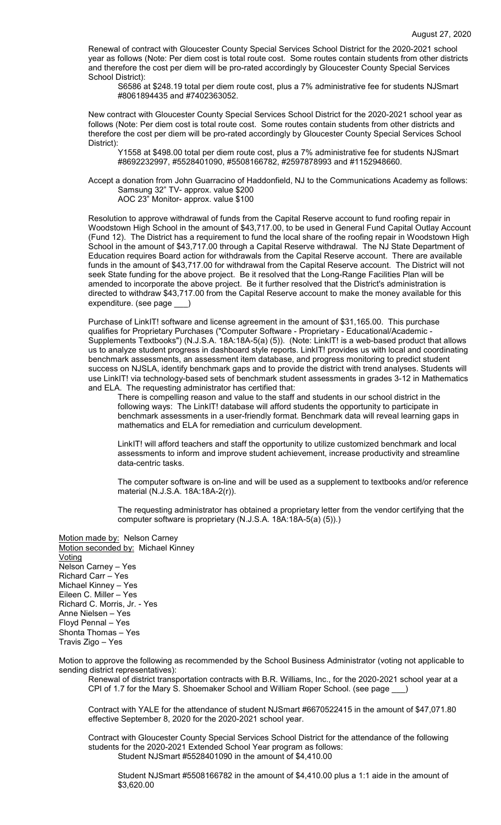Renewal of contract with Gloucester County Special Services School District for the 2020-2021 school year as follows (Note: Per diem cost is total route cost. Some routes contain students from other districts and therefore the cost per diem will be pro-rated accordingly by Gloucester County Special Services School District):

S6586 at \$248.19 total per diem route cost, plus a 7% administrative fee for students NJSmart #8061894435 and #7402363052.

New contract with Gloucester County Special Services School District for the 2020-2021 school year as follows (Note: Per diem cost is total route cost. Some routes contain students from other districts and therefore the cost per diem will be pro-rated accordingly by Gloucester County Special Services School District):

Y1558 at \$498.00 total per diem route cost, plus a 7% administrative fee for students NJSmart #8692232997, #5528401090, #5508166782, #2597878993 and #1152948660.

Accept a donation from John Guarracino of Haddonfield, NJ to the Communications Academy as follows: Samsung 32" TV- approx. value \$200 AOC 23" Monitor- approx. value \$100

Resolution to approve withdrawal of funds from the Capital Reserve account to fund roofing repair in Woodstown High School in the amount of \$43,717.00, to be used in General Fund Capital Outlay Account (Fund 12). The District has a requirement to fund the local share of the roofing repair in Woodstown High School in the amount of \$43,717.00 through a Capital Reserve withdrawal. The NJ State Department of Education requires Board action for withdrawals from the Capital Reserve account. There are available funds in the amount of \$43,717.00 for withdrawal from the Capital Reserve account. The District will not seek State funding for the above project. Be it resolved that the Long-Range Facilities Plan will be amended to incorporate the above project. Be it further resolved that the District's administration is directed to withdraw \$43,717.00 from the Capital Reserve account to make the money available for this expenditure. (see page \_\_\_)

Purchase of LinkIT! software and license agreement in the amount of \$31,165.00. This purchase qualifies for Proprietary Purchases ("Computer Software - Proprietary - Educational/Academic - Supplements Textbooks") (N.J.S.A. 18A:18A-5(a) (5)). (Note: LinkIT! is a web-based product that allows us to analyze student progress in dashboard style reports. LinkIT! provides us with local and coordinating benchmark assessments, an assessment item database, and progress monitoring to predict student success on NJSLA, identify benchmark gaps and to provide the district with trend analyses. Students will use LinkIT! via technology-based sets of benchmark student assessments in grades 3-12 in Mathematics and ELA. The requesting administrator has certified that:

There is compelling reason and value to the staff and students in our school district in the following ways: The LinkIT! database will afford students the opportunity to participate in benchmark assessments in a user-friendly format. Benchmark data will reveal learning gaps in mathematics and ELA for remediation and curriculum development.

LinkIT! will afford teachers and staff the opportunity to utilize customized benchmark and local assessments to inform and improve student achievement, increase productivity and streamline data-centric tasks.

The computer software is on-line and will be used as a supplement to textbooks and/or reference material (N.J.S.A. 18A:18A-2(r)).

The requesting administrator has obtained a proprietary letter from the vendor certifying that the computer software is proprietary (N.J.S.A. 18A:18A-5(a) (5)).)

Motion made by: Nelson Carney Motion seconded by: Michael Kinney **Voting** Nelson Carney – Yes Richard Carr – Yes Michael Kinney – Yes Eileen C. Miller – Yes Richard C. Morris, Jr. - Yes Anne Nielsen – Yes Floyd Pennal – Yes Shonta Thomas – Yes Travis Zigo – Yes

Motion to approve the following as recommended by the School Business Administrator (voting not applicable to sending district representatives):

Renewal of district transportation contracts with B.R. Williams, Inc., for the 2020-2021 school year at a CPI of 1.7 for the Mary S. Shoemaker School and William Roper School. (see page \_

Contract with YALE for the attendance of student NJSmart #6670522415 in the amount of \$47,071.80 effective September 8, 2020 for the 2020-2021 school year.

Contract with Gloucester County Special Services School District for the attendance of the following students for the 2020-2021 Extended School Year program as follows: Student NJSmart #5528401090 in the amount of \$4,410.00

Student NJSmart #5508166782 in the amount of \$4,410.00 plus a 1:1 aide in the amount of \$3,620.00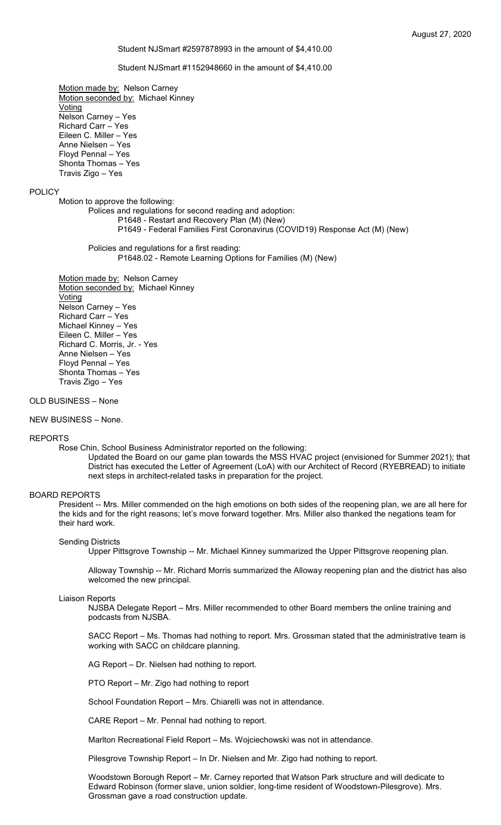#### Student NJSmart #2597878993 in the amount of \$4,410.00

#### Student NJSmart #1152948660 in the amount of \$4,410.00

Motion made by: Nelson Carney Motion seconded by: Michael Kinney Voting Nelson Carney – Yes Richard Carr – Yes Eileen C. Miller – Yes Anne Nielsen – Yes Floyd Pennal – Yes Shonta Thomas – Yes Travis Zigo – Yes

### POLICY

Motion to approve the following:

Polices and regulations for second reading and adoption:

- P1648 Restart and Recovery Plan (M) (New)
	- P1649 Federal Families First Coronavirus (COVID19) Response Act (M) (New)

Policies and regulations for a first reading:

P1648.02 - Remote Learning Options for Families (M) (New)

Motion made by: Nelson Carney Motion seconded by: Michael Kinney Voting Nelson Carney – Yes Richard Carr – Yes Michael Kinney – Yes Eileen C. Miller – Yes Richard C. Morris, Jr. - Yes Anne Nielsen – Yes Floyd Pennal – Yes Shonta Thomas – Yes Travis Zigo – Yes

#### OLD BUSINESS – None

NEW BUSINESS – None.

#### REPORTS

Rose Chin, School Business Administrator reported on the following:

Updated the Board on our game plan towards the MSS HVAC project (envisioned for Summer 2021); that District has executed the Letter of Agreement (LoA) with our Architect of Record (RYEBREAD) to initiate next steps in architect-related tasks in preparation for the project.

#### BOARD REPORTS

President -- Mrs. Miller commended on the high emotions on both sides of the reopening plan, we are all here for the kids and for the right reasons; let's move forward together. Mrs. Miller also thanked the negations team for their hard work.

#### Sending Districts

Upper Pittsgrove Township -- Mr. Michael Kinney summarized the Upper Pittsgrove reopening plan.

Alloway Township -- Mr. Richard Morris summarized the Alloway reopening plan and the district has also welcomed the new principal.

#### Liaison Reports

NJSBA Delegate Report – Mrs. Miller recommended to other Board members the online training and podcasts from NJSBA.

SACC Report – Ms. Thomas had nothing to report. Mrs. Grossman stated that the administrative team is working with SACC on childcare planning.

AG Report – Dr. Nielsen had nothing to report.

PTO Report – Mr. Zigo had nothing to report

School Foundation Report – Mrs. Chiarelli was not in attendance.

CARE Report – Mr. Pennal had nothing to report.

Marlton Recreational Field Report – Ms. Wojciechowski was not in attendance.

Pilesgrove Township Report – In Dr. Nielsen and Mr. Zigo had nothing to report.

Woodstown Borough Report – Mr. Carney reported that Watson Park structure and will dedicate to Edward Robinson (former slave, union soldier, long-time resident of Woodstown-Pilesgrove). Mrs. Grossman gave a road construction update.